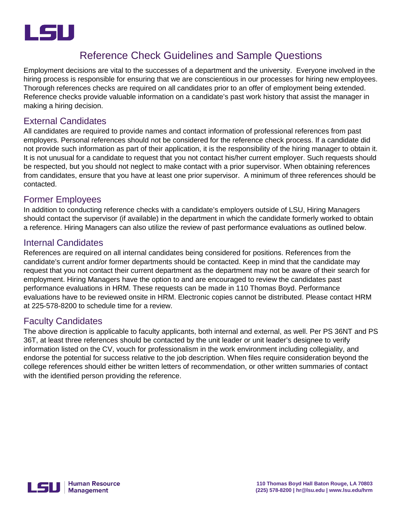

## Reference Check Guidelines and Sample Questions

Employment decisions are vital to the successes of a department and the university. Everyone involved in the hiring process is responsible for ensuring that we are conscientious in our processes for hiring new employees. Thorough references checks are required on all candidates prior to an offer of employment being extended. Reference checks provide valuable information on a candidate's past work history that assist the manager in making a hiring decision.

### External Candidates

All candidates are required to provide names and contact information of professional references from past employers. Personal references should not be considered for the reference check process. If a candidate did not provide such information as part of their application, it is the responsibility of the hiring manager to obtain it. It is not unusual for a candidate to request that you not contact his/her current employer. Such requests should be respected, but you should not neglect to make contact with a prior supervisor. When obtaining references from candidates, ensure that you have at least one prior supervisor. A minimum of three references should be contacted.

#### Former Employees

In addition to conducting reference checks with a candidate's employers outside of LSU, Hiring Managers should contact the supervisor (if available) in the department in which the candidate formerly worked to obtain a reference. Hiring Managers can also utilize the review of past performance evaluations as outlined below.

#### Internal Candidates

References are required on all internal candidates being considered for positions. References from the candidate's current and/or former departments should be contacted. Keep in mind that the candidate may request that you not contact their current department as the department may not be aware of their search for employment. Hiring Managers have the option to and are encouraged to review the candidates past performance evaluations in HRM. These requests can be made in 110 Thomas Boyd. Performance evaluations have to be reviewed onsite in HRM. Electronic copies cannot be distributed. Please contact HRM at 225-578-8200 to schedule time for a review.

#### Faculty Candidates

The above direction is applicable to faculty applicants, both internal and external, as well. Per PS 36NT and PS 36T, at least three references should be contacted by the unit leader or unit leader's designee to verify information listed on the CV, vouch for professionalism in the work environment including collegiality, and endorse the potential for success relative to the job description. When files require consideration beyond the college references should either be written letters of recommendation, or other written summaries of contact with the identified person providing the reference.